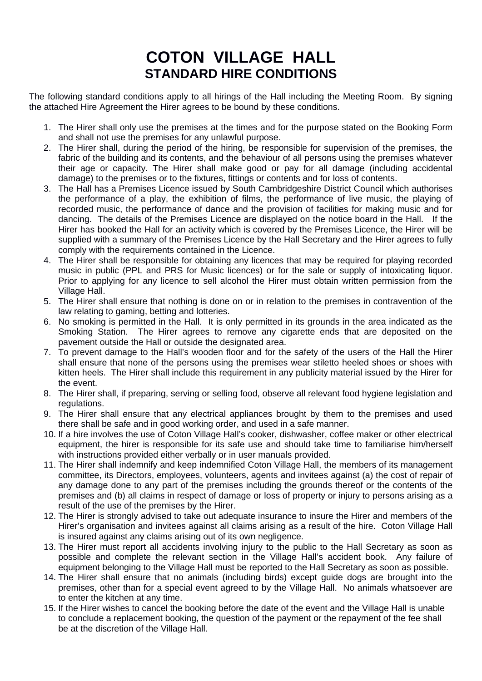## **COTON VILLAGE HALL STANDARD HIRE CONDITIONS**

The following standard conditions apply to all hirings of the Hall including the Meeting Room. By signing the attached Hire Agreement the Hirer agrees to be bound by these conditions.

- 1. The Hirer shall only use the premises at the times and for the purpose stated on the Booking Form and shall not use the premises for any unlawful purpose.
- 2. The Hirer shall, during the period of the hiring, be responsible for supervision of the premises, the fabric of the building and its contents, and the behaviour of all persons using the premises whatever their age or capacity. The Hirer shall make good or pay for all damage (including accidental damage) to the premises or to the fixtures, fittings or contents and for loss of contents.
- 3. The Hall has a Premises Licence issued by South Cambridgeshire District Council which authorises the performance of a play, the exhibition of films, the performance of live music, the playing of recorded music, the performance of dance and the provision of facilities for making music and for dancing. The details of the Premises Licence are displayed on the notice board in the Hall. If the Hirer has booked the Hall for an activity which is covered by the Premises Licence, the Hirer will be supplied with a summary of the Premises Licence by the Hall Secretary and the Hirer agrees to fully comply with the requirements contained in the Licence.
- 4. The Hirer shall be responsible for obtaining any licences that may be required for playing recorded music in public (PPL and PRS for Music licences) or for the sale or supply of intoxicating liquor. Prior to applying for any licence to sell alcohol the Hirer must obtain written permission from the Village Hall.
- 5. The Hirer shall ensure that nothing is done on or in relation to the premises in contravention of the law relating to gaming, betting and lotteries.
- 6. No smoking is permitted in the Hall. It is only permitted in its grounds in the area indicated as the Smoking Station. The Hirer agrees to remove any cigarette ends that are deposited on the pavement outside the Hall or outside the designated area.
- 7. To prevent damage to the Hall's wooden floor and for the safety of the users of the Hall the Hirer shall ensure that none of the persons using the premises wear stiletto heeled shoes or shoes with kitten heels. The Hirer shall include this requirement in any publicity material issued by the Hirer for the event.
- 8. The Hirer shall, if preparing, serving or selling food, observe all relevant food hygiene legislation and regulations.
- 9. The Hirer shall ensure that any electrical appliances brought by them to the premises and used there shall be safe and in good working order, and used in a safe manner.
- 10. If a hire involves the use of Coton Village Hall's cooker, dishwasher, coffee maker or other electrical equipment, the hirer is responsible for its safe use and should take time to familiarise him/herself with instructions provided either verbally or in user manuals provided.
- 11. The Hirer shall indemnify and keep indemnified Coton Village Hall, the members of its management committee, its Directors, employees, volunteers, agents and invitees against (a) the cost of repair of any damage done to any part of the premises including the grounds thereof or the contents of the premises and (b) all claims in respect of damage or loss of property or injury to persons arising as a result of the use of the premises by the Hirer.
- 12. The Hirer is strongly advised to take out adequate insurance to insure the Hirer and members of the Hirer's organisation and invitees against all claims arising as a result of the hire. Coton Village Hall is insured against any claims arising out of its own negligence.
- 13. The Hirer must report all accidents involving injury to the public to the Hall Secretary as soon as possible and complete the relevant section in the Village Hall's accident book. Any failure of equipment belonging to the Village Hall must be reported to the Hall Secretary as soon as possible.
- 14. The Hirer shall ensure that no animals (including birds) except guide dogs are brought into the premises, other than for a special event agreed to by the Village Hall. No animals whatsoever are to enter the kitchen at any time.
- 15. If the Hirer wishes to cancel the booking before the date of the event and the Village Hall is unable to conclude a replacement booking, the question of the payment or the repayment of the fee shall be at the discretion of the Village Hall.